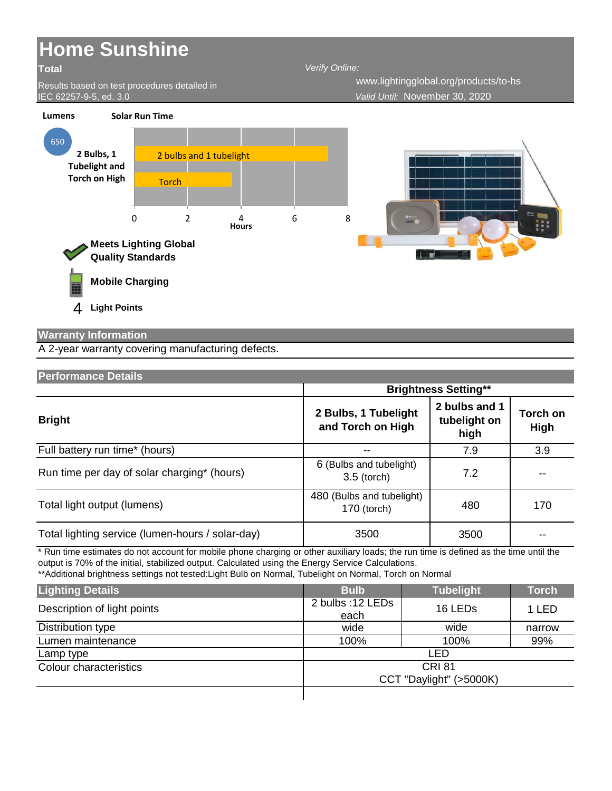

## **Warranty Information**

A 2-year warranty covering manufacturing defects.

| Performance Details                              |                                            |                                       |                                |  |
|--------------------------------------------------|--------------------------------------------|---------------------------------------|--------------------------------|--|
|                                                  | <b>Brightness Setting**</b>                |                                       |                                |  |
| <b>Bright</b>                                    | 2 Bulbs, 1 Tubelight<br>and Torch on High  | 2 bulbs and 1<br>tubelight on<br>high | <b>Torch on</b><br><b>High</b> |  |
| Full battery run time* (hours)                   |                                            | 7.9                                   | 3.9                            |  |
| Run time per day of solar charging* (hours)      | 6 (Bulbs and tubelight)<br>$3.5$ (torch)   | 7.2                                   |                                |  |
| Total light output (lumens)                      | 480 (Bulbs and tubelight)<br>$170$ (torch) | 480                                   | 170                            |  |
| Total lighting service (lumen-hours / solar-day) | 3500                                       | 3500                                  |                                |  |

\* Run time estimates do not account for mobile phone charging or other auxiliary loads; the run time is defined as the time until the output is 70% of the initial, stabilized output. Calculated using the Energy Service Calculations.

\*\*Additional brightness settings not tested:Light Bulb on Normal, Tubelight on Normal, Torch on Normal

| <b>Lighting Details</b>     | <b>Bulb</b>              | <b>Tubelight</b>    | <b>Torch</b> |
|-----------------------------|--------------------------|---------------------|--------------|
| Description of light points | 2 bulbs: 12 LEDs<br>each | 16 LED <sub>s</sub> | 1 LED        |
| Distribution type           | wide                     | wide                | narrow       |
| Lumen maintenance           | 100%                     | 100%                | 99%          |
| Lamp type                   | LED                      |                     |              |
| Colour characteristics      | <b>CRI 81</b>            |                     |              |
|                             | CCT "Daylight" (>5000K)  |                     |              |
|                             |                          |                     |              |